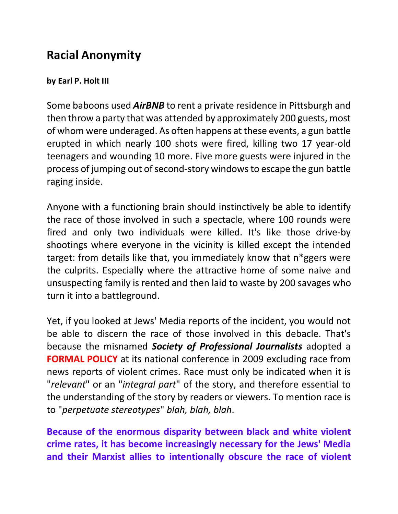## **Racial Anonymity**

## **by Earl P. Holt III**

Some baboons used *AirBNB* to rent a private residence in Pittsburgh and then throw a party that was attended by approximately 200 guests, most of whom were underaged. As often happens at these events, a gun battle erupted in which nearly 100 shots were fired, killing two 17 year-old teenagers and wounding 10 more. Five more guests were injured in the process of jumping out of second-story windows to escape the gun battle raging inside.

Anyone with a functioning brain should instinctively be able to identify the race of those involved in such a spectacle, where 100 rounds were fired and only two individuals were killed. It's like those drive-by shootings where everyone in the vicinity is killed except the intended target: from details like that, you immediately know that n\*ggers were the culprits. Especially where the attractive home of some naive and unsuspecting family is rented and then laid to waste by 200 savages who turn it into a battleground.

Yet, if you looked at Jews' Media reports of the incident, you would not be able to discern the race of those involved in this debacle. That's because the misnamed *Society of Professional Journalists* adopted a **FORMAL POLICY** at its national conference in 2009 excluding race from news reports of violent crimes. Race must only be indicated when it is "*relevant*" or an "*integral part*" of the story, and therefore essential to the understanding of the story by readers or viewers. To mention race is to "*perpetuate stereotypes*" *blah, blah, blah*.

**Because of the enormous disparity between black and white violent crime rates, it has become increasingly necessary for the Jews' Media and their Marxist allies to intentionally obscure the race of violent**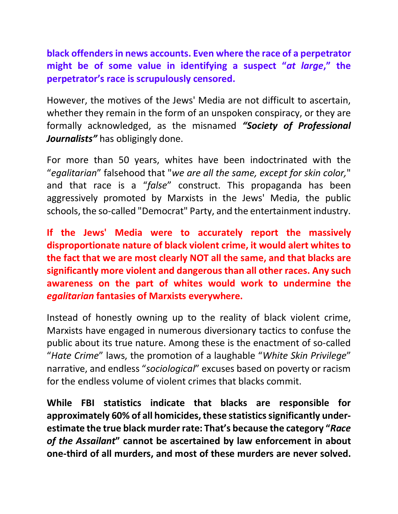**black offenders in news accounts. Even where the race of a perpetrator might be of some value in identifying a suspect "***at large***," the perpetrator's race is scrupulously censored.**

However, the motives of the Jews' Media are not difficult to ascertain, whether they remain in the form of an unspoken conspiracy, or they are formally acknowledged, as the misnamed *"Society of Professional Journalists"* has obligingly done.

For more than 50 years, whites have been indoctrinated with the "*egalitarian*" falsehood that "*we are all the same, except for skin color,*" and that race is a "*false*" construct. This propaganda has been aggressively promoted by Marxists in the Jews' Media, the public schools, the so-called "Democrat" Party, and the entertainment industry.

**If the Jews' Media were to accurately report the massively disproportionate nature of black violent crime, it would alert whites to the fact that we are most clearly NOT all the same, and that blacks are significantly more violent and dangerous than all other races. Any such awareness on the part of whites would work to undermine the**  *egalitarian* **fantasies of Marxists everywhere.** 

Instead of honestly owning up to the reality of black violent crime, Marxists have engaged in numerous diversionary tactics to confuse the public about its true nature. Among these is the enactment of so-called "*Hate Crime*" laws, the promotion of a laughable "*White Skin Privilege*" narrative, and endless "*sociological*" excuses based on poverty or racism for the endless volume of violent crimes that blacks commit.

**While FBI statistics indicate that blacks are responsible for approximately 60% of all homicides, these statistics significantly underestimate the true black murder rate: That's because the category "***Race of the Assailant***" cannot be ascertained by law enforcement in about one-third of all murders, and most of these murders are never solved.**